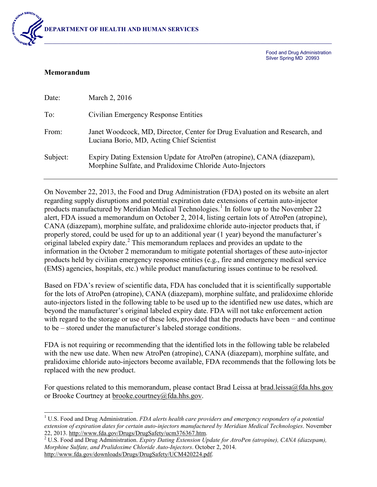

Food and Drug Administration Silver Spring MD 20993

## **Memorandum**

| Date:    | March 2, 2016                                                                                                                        |
|----------|--------------------------------------------------------------------------------------------------------------------------------------|
| To:      | Civilian Emergency Response Entities                                                                                                 |
| From:    | Janet Woodcock, MD, Director, Center for Drug Evaluation and Research, and<br>Luciana Borio, MD, Acting Chief Scientist              |
| Subject: | Expiry Dating Extension Update for AtroPen (atropine), CANA (diazepam),<br>Morphine Sulfate, and Pralidoxime Chloride Auto-Injectors |

On November 22, 2013, the Food and Drug Administration (FDA) posted on its website an alert regarding supply disruptions and potential expiration date extensions of certain auto-injector products manufactured by Meridian Medical Technologies.<sup>[1](#page-0-0)</sup> In follow up to the November 22 alert, FDA issued a memorandum on October 2, 2014, listing certain lots of AtroPen (atropine), CANA (diazepam), morphine sulfate, and pralidoxime chloride auto-injector products that, if properly stored, could be used for up to an additional year (1 year) beyond the manufacturer's original labeled expiry date.<sup>[2](#page-0-1)</sup> This memorandum replaces and provides an update to the information in the October 2 memorandum to mitigate potential shortages of these auto-injector products held by civilian emergency response entities (e.g., fire and emergency medical service (EMS) agencies, hospitals, etc.) while product manufacturing issues continue to be resolved.

Based on FDA's review of scientific data, FDA has concluded that it is scientifically supportable for the lots of AtroPen (atropine), CANA (diazepam), morphine sulfate, and pralidoxime chloride auto-injectors listed in the following table to be used up to the identified new use dates, which are beyond the manufacturer's original labeled expiry date. FDA will not take enforcement action with regard to the storage or use of these lots, provided that the products have been − and continue to be – stored under the manufacturer's labeled storage conditions.

FDA is not requiring or recommending that the identified lots in the following table be relabeled with the new use date. When new AtroPen (atropine), CANA (diazepam), morphine sulfate, and pralidoxime chloride auto-injectors become available, FDA recommends that the following lots be replaced with the new product.

For questions related to this memorandum, please contact Brad Leissa at [brad.leissa@fda.hhs.gov](mailto:brad.leissa@fda.hhs.gov) or Brooke Courtney at [brooke.courtney@fda.hhs.gov.](mailto:brooke.courtney@fda.hhs.gov)

<span id="page-0-0"></span> <sup>1</sup> U.S. Food and Drug Administration. *FDA alerts health care providers and emergency responders of a potential extension of expiration dates for certain auto-injectors manufactured by Meridian Medical Technologies*. November

<span id="page-0-1"></span><sup>&</sup>lt;sup>2</sup> U.S. Food and Drug Administration. *Expiry Dating Extension Update for AtroPen (atropine), CANA (diazepam), Morphine Sulfate, and Pralidoxime Chloride Auto-Injectors*. October 2, 2014. [http://www.fda.gov/downloads/Drugs/DrugSafety/UCM420224.pdf.](http://www.fda.gov/downloads/Drugs/DrugSafety/UCM420224.pdf)